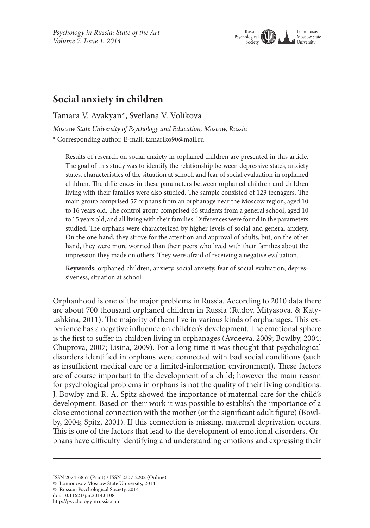*Psychology in Russia: State of the Art Volume 7, Issue 1, 2014*



# **Social anxiety in children**

Tamara V. Avakyan\*, Svetlana V. Volikova

*Moscow State University of Psychology and Education, Moscow, Russia*

\* Corresponding author. E-mail: tamariko90@mail.ru

Results of research on social anxiety in orphaned children are presented in this article. The goal of this study was to identify the relationship between depressive states, anxiety states, characteristics of the situation at school, and fear of social evaluation in orphaned children. The differences in these parameters between orphaned children and children living with their families were also studied. The sample consisted of 123 teenagers. The main group comprised 57 orphans from an orphanage near the Moscow region, aged 10 to 16 years old. The control group comprised 66 students from a general school, aged 10 to 15 years old, and all living with their families. Differences were found in the parameters studied. The orphans were characterized by higher levels of social and general anxiety. On the one hand, they strove for the attention and approval of adults, but, on the other hand, they were more worried than their peers who lived with their families about the impression they made on others. They were afraid of receiving a negative evaluation.

**Keywords:** orphaned children, anxiety, social anxiety, fear of social evaluation, depressiveness, situation at school

Orphanhood is one of the major problems in Russia. According to 2010 data there are about 700 thousand orphaned children in Russia (Rudov, Mityasova, & Katyushkina, 2011). The majority of them live in various kinds of orphanages. This experience has a negative influence on children's development. The emotional sphere is the first to suffer in children living in orphanages (Avdeeva, 2009; Bowlby, 2004; Chuprova, 2007; Lisina, 2009). For a long time it was thought that psychological disorders identified in orphans were connected with bad social conditions (such as insufficient medical care or a limited-information environment). These factors are of course important to the development of a child; however the main reason for psychological problems in orphans is not the quality of their living conditions. J. Bowlby and R. A. Spitz showed the importance of maternal care for the child's development. Based on their work it was possible to establish the importance of a close emotional connection with the mother (or the significant adult figure) (Bowlby, 2004; Spitz, 2001). If this connection is missing, maternal deprivation occurs. This is one of the factors that lead to the development of emotional disorders. Orphans have difficulty identifying and understanding emotions and expressing their

ISSN 2074-6857 (Print) / ISSN 2307-2202 (Online)

<sup>©</sup> Lomonosov Moscow State University, 2014

<sup>©</sup> Russian Psychological Society, 2014

doi: 10.11621/pir.2014.0108

http://psychologyinrussia.com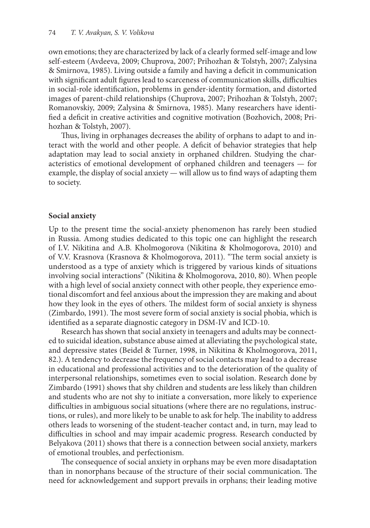own emotions; they are characterized by lack of a clearly formed self-image and low self-esteem (Avdeeva, 2009; Chuprova, 2007; Prihozhan & Tolstyh, 2007; Zalysina & Smirnova, 1985). Living outside a family and having a deficit in communication with significant adult figures lead to scarceness of communication skills, difficulties in social-role identification, problems in gender-identity formation, and distorted images of parent-child relationships (Chuprova, 2007; Prihozhan & Tolstyh, 2007; Romanovskiy, 2009; Zalysina & Smirnova, 1985). Many researchers have identified a deficit in creative activities and cognitive motivation (Bozhovich, 2008; Prihozhan & Tolstyh, 2007).

Thus, living in orphanages decreases the ability of orphans to adapt to and interact with the world and other people. A deficit of behavior strategies that help adaptation may lead to social anxiety in orphaned children. Studying the characteristics of emotional development of orphaned children and teenagers — for example, the display of social anxiety — will allow us to find ways of adapting them to society.

#### **Social anxiety**

Up to the present time the social-anxiety phenomenon has rarely been studied in Russia. Among studies dedicated to this topic one can highlight the research of I.V. Nikitina and A.B. Kholmogorova (Nikitina & Kholmogorova, 2010) and of V.V. Krasnova (Krasnova & Kholmogorova, 2011). "The term social anxiety is understood as a type of anxiety which is triggered by various kinds of situations involving social interactions" (Nikitina & Kholmogorova, 2010, 80). When people with a high level of social anxiety connect with other people, they experience emotional discomfort and feel anxious about the impression they are making and about how they look in the eyes of others. The mildest form of social anxiety is shyness (Zimbardo, 1991). The most severe form of social anxiety is social phobia, which is identified as a separate diagnostic category in DSM-IV and ICD-10.

Research has shown that social anxiety in teenagers and adults may be connected to suicidal ideation, substance abuse aimed at alleviating the psychological state, and depressive states (Beidel & Turner, 1998, in Nikitina & Kholmogorova, 2011, 82.). A tendency to decrease the frequency of social contacts may lead to a decrease in educational and professional activities and to the deterioration of the quality of interpersonal relationships, sometimes even to social isolation. Research done by Zimbardo (1991) shows that shy children and students are less likely than children and students who are not shy to initiate a conversation, more likely to experience difficulties in ambiguous social situations (where there are no regulations, instructions, or rules), and more likely to be unable to ask for help. The inability to address others leads to worsening of the student-teacher contact and, in turn, may lead to difficulties in school and may impair academic progress. Research conducted by Belyakova (2011) shows that there is a connection between social anxiety, markers of emotional troubles, and perfectionism.

The consequence of social anxiety in orphans may be even more disadaptation than in nonorphans because of the structure of their social communication. The need for acknowledgement and support prevails in orphans; their leading motive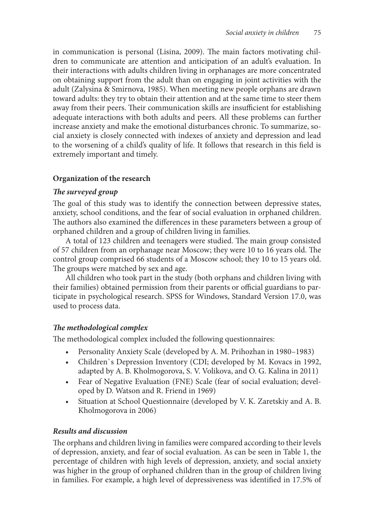in communication is personal (Lisina, 2009). The main factors motivating children to communicate are attention and anticipation of an adult's evaluation. In their interactions with adults children living in orphanages are more concentrated on obtaining support from the adult than on engaging in joint activities with the adult (Zalysina & Smirnova, 1985). When meeting new people orphans are drawn toward adults: they try to obtain their attention and at the same time to steer them away from their peers. Their communication skills are insufficient for establishing adequate interactions with both adults and peers. All these problems can further increase anxiety and make the emotional disturbances chronic. To summarize, social anxiety is closely connected with indexes of anxiety and depression and lead to the worsening of a child's quality of life. It follows that research in this field is extremely important and timely.

# **Organization of the research**

### *The surveyed group*

The goal of this study was to identify the connection between depressive states, anxiety, school conditions, and the fear of social evaluation in orphaned children. The authors also examined the differences in these parameters between a group of orphaned children and a group of children living in families.

A total of 123 children and teenagers were studied. The main group consisted of 57 children from an orphanage near Moscow; they were 10 to 16 years old. The control group comprised 66 students of a Moscow school; they 10 to 15 years old. The groups were matched by sex and age.

All children who took part in the study (both orphans and children living with their families) obtained permission from their parents or official guardians to participate in psychological research. SPSS for Windows, Standard Version 17.0, was used to process data.

# *The methodological complex*

The methodological complex included the following questionnaires:

- • Personality Anxiety Scale (developed by A. M. Prihozhan in 1980–1983)
- • Children`s Depression Inventory (CDI; developed by M. Kovacs in 1992, adapted by A. B. Kholmogorova, S. V. Volikova, and O. G. Kalina in 2011)
- Fear of Negative Evaluation (FNE) Scale (fear of social evaluation; developed by D. Watson and R. Friend in 1969)
- • Situation at School Questionnaire (developed by V. K. Zaretskiy and A. B. Kholmogorova in 2006)

# *Results and discussion*

The orphans and children living in families were compared according to their levels of depression, anxiety, and fear of social evaluation. As can be seen in Table 1, the percentage of children with high levels of depression, anxiety, and social anxiety was higher in the group of orphaned children than in the group of children living in families. For example, a high level of depressiveness was identified in 17.5% of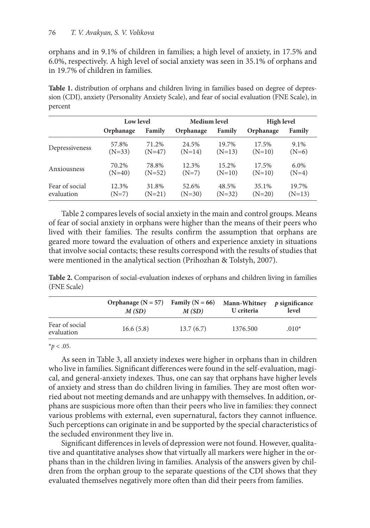orphans and in 9.1% of children in families; a high level of anxiety, in 17.5% and 6.0%, respectively. A high level of social anxiety was seen in 35.1% of orphans and in 19.7% of children in families.

Table 1. distribution of orphans and children living in families based on degree of depression (CDI), anxiety (Personality Anxiety Scale), and fear of social evaluation (FNE Scale), in percent

|                | Low level |          | Medium level |          | <b>High level</b> |          |
|----------------|-----------|----------|--------------|----------|-------------------|----------|
|                | Orphanage | Family   | Orphanage    | Family   | Orphanage         | Family   |
| Depressiveness | 57.8%     | 71.2%    | 24.5%        | 19.7%    | 17.5%             | 9.1%     |
|                | $(N=33)$  | $(N=47)$ | $(N=14)$     | $(N=13)$ | $(N=10)$          | $(N=6)$  |
| Anxiousness    | 70.2%     | 78.8%    | 12.3%        | 15.2%    | 17.5%             | 6.0%     |
|                | $(N=40)$  | $(N=52)$ | $(N=7)$      | $(N=10)$ | $(N=10)$          | $(N=4)$  |
| Fear of social | 12.3%     | 31.8%    | 52.6%        | 48.5%    | 35.1%             | 19.7%    |
| evaluation     | $(N=7)$   | $(N=21)$ | $(N=30)$     | $(N=32)$ | $(N=20)$          | $(N=13)$ |

Table 2 compares levels of social anxiety in the main and control groups. Means of fear of social anxiety in orphans were higher than the means of their peers who lived with their families. The results confirm the assumption that orphans are geared more toward the evaluation of others and experience anxiety in situations that involve social contacts; these results correspond with the results of studies that were mentioned in the analytical section (Prihozhan & Tolstyh, 2007).

**Table 2.** Comparison of social-evaluation indexes of orphans and children living in families (FNE Scale)

|                              | Orphanage $(N = 57)$ | Family ( $N = 66$ ) | Mann-Whitney | $p$ significance |
|------------------------------|----------------------|---------------------|--------------|------------------|
|                              | M(SD)                | M(SD)               | U criteria   | level            |
| Fear of social<br>evaluation | 16.6(5.8)            | 13.7(6.7)           | 1376.500     | $.010*$          |

 $*$ *p* < .05.

As seen in Table 3, all anxiety indexes were higher in orphans than in children who live in families. Significant differences were found in the self-evaluation, magical, and general-anxiety indexes. Thus, one can say that orphans have higher levels of anxiety and stress than do children living in families. They are most often worried about not meeting demands and are unhappy with themselves. In addition, orphans are suspicious more often than their peers who live in families: they connect various problems with external, even supernatural, factors they cannot influence. Such perceptions can originate in and be supported by the special characteristics of the secluded environment they live in.

Significant differences in levels of depression were not found. However, qualitative and quantitative analyses show that virtually all markers were higher in the orphans than in the children living in families. Analysis of the answers given by children from the orphan group to the separate questions of the CDI shows that they evaluated themselves negatively more often than did their peers from families.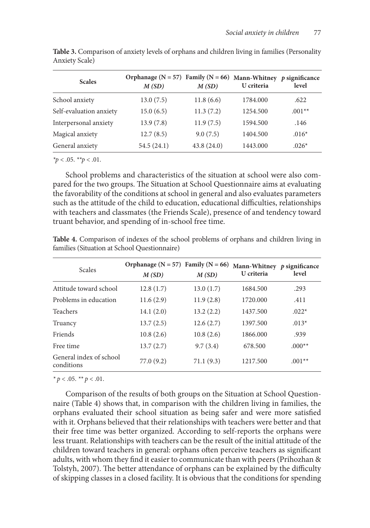| <b>Scales</b>           | Orphanage $(N = 57)$ Family $(N = 66)$<br>M(SD) | M(SD)      | Mann-Whitney p significance<br>U criteria | level    |
|-------------------------|-------------------------------------------------|------------|-------------------------------------------|----------|
| School anxiety          | 13.0(7.5)                                       | 11.8(6.6)  | 1784.000                                  | .622     |
| Self-evaluation anxiety | 15.0(6.5)                                       | 11.3(7.2)  | 1254.500                                  | $.001**$ |
| Interpersonal anxiety   | 13.9(7.8)                                       | 11.9(7.5)  | 1594.500                                  | .146     |
| Magical anxiety         | 12.7(8.5)                                       | 9.0(7.5)   | 1404.500                                  | $.016*$  |
| General anxiety         | 54.5(24.1)                                      | 43.8(24.0) | 1443.000                                  | $.026*$  |

**Table 3.** Comparison of anxiety levels of orphans and children living in families (Personality Anxiety Scale)

*\*p* < .05. *\*\*p* < .01.

School problems and characteristics of the situation at school were also compared for the two groups. The Situation at School Questionnaire aims at evaluating the favorability of the conditions at school in general and also evaluates parameters such as the attitude of the child to education, educational difficulties, relationships with teachers and classmates (the Friends Scale), presence of and tendency toward truant behavior, and spending of in-school free time.

| <b>Scales</b>                         | Orphanage ( $N = 57$ ) Family ( $N = 66$ )<br>M(SD) | M(SD)     | Mann-Whitney $p$ significance<br>U criteria | level    |
|---------------------------------------|-----------------------------------------------------|-----------|---------------------------------------------|----------|
| Attitude toward school                | 12.8(1.7)                                           | 13.0(1.7) | 1684.500                                    | .293     |
| Problems in education                 | 11.6(2.9)                                           | 11.9(2.8) | 1720.000                                    | .411     |
| <b>Teachers</b>                       | 14.1(2.0)                                           | 13.2(2.2) | 1437.500                                    | $.022*$  |
| Truancy                               | 13.7(2.5)                                           | 12.6(2.7) | 1397.500                                    | $.013*$  |
| Friends                               | 10.8(2.6)                                           | 10.8(2.6) | 1866.000                                    | .939     |
| Free time                             | 13.7(2.7)                                           | 9.7(3.4)  | 678.500                                     | $.000**$ |
| General index of school<br>conditions | 77.0(9.2)                                           | 71.1(9.3) | 1217.500                                    | $.001**$ |

**Table 4.** Comparison of indexes of the school problems of orphans and children living in families (Situation at School Questionnaire)

*\* p* < .05. *\*\* p* < .01.

Comparison of the results of both groups on the Situation at School Questionnaire (Table 4) shows that, in comparison with the children living in families, the orphans evaluated their school situation as being safer and were more satisfied with it. Orphans believed that their relationships with teachers were better and that their free time was better organized. According to self-reports the orphans were less truant. Relationships with teachers can be the result of the initial attitude of the children toward teachers in general: orphans often perceive teachers as significant adults, with whom they find it easier to communicate than with peers (Prihozhan & Tolstyh, 2007). The better attendance of orphans can be explained by the difficulty of skipping classes in a closed facility. It is obvious that the conditions for spending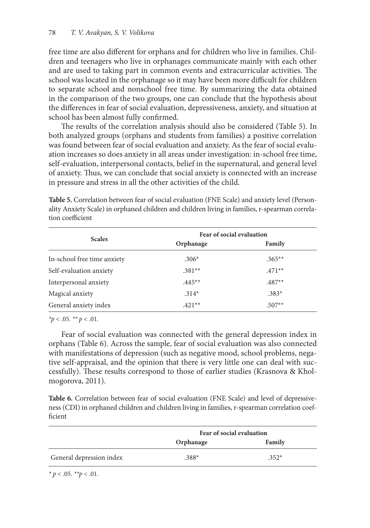free time are also different for orphans and for children who live in families. Children and teenagers who live in orphanages communicate mainly with each other and are used to taking part in common events and extracurricular activities. The school was located in the orphanage so it may have been more difficult for children to separate school and nonschool free time. By summarizing the data obtained in the comparison of the two groups, one can conclude that the hypothesis about the differences in fear of social evaluation, depressiveness, anxiety, and situation at school has been almost fully confirmed.

The results of the correlation analysis should also be considered (Table 5). In both analyzed groups (orphans and students from families) a positive correlation was found between fear of social evaluation and anxiety. As the fear of social evaluation increases so does anxiety in all areas under investigation: in-school free time, self-evaluation, interpersonal contacts, belief in the supernatural, and general level of anxiety. Thus, we can conclude that social anxiety is connected with an increase in pressure and stress in all the other activities of the child.

| <b>Scales</b>               | Fear of social evaluation |          |  |  |
|-----------------------------|---------------------------|----------|--|--|
|                             | Orphanage                 | Family   |  |  |
| In-school free time anxiety | $.306*$                   | $.365**$ |  |  |
| Self-evaluation anxiety     | $.381**$                  | $.471**$ |  |  |
| Interpersonal anxiety       | $.445**$                  | $.487**$ |  |  |
| Magical anxiety             | $.314*$                   | $.383*$  |  |  |
| General anxiety index       | $.421**$                  | $.507**$ |  |  |

**Table 5.** Correlation between fear of social evaluation (FNE Scale) and anxiety level (Personality Anxiety Scale) in orphaned children and children living in families, r-spearman correlation coefficient

*\*p* < .05. *\*\* p* < .01.

Fear of social evaluation was connected with the general depression index in orphans (Table 6). Across the sample, fear of social evaluation was also connected with manifestations of depression (such as negative mood, school problems, negative self-appraisal, and the opinion that there is very little one can deal with successfully). These results correspond to those of earlier studies (Krasnova & Kholmogorova, 2011).

**Table 6.** Correlation between fear of social evaluation (FNE Scale) and level of depressiveness (CDI) in orphaned children and children living in families, r-spearman correlation coefficient

|                          | Fear of social evaluation |         |  |
|--------------------------|---------------------------|---------|--|
|                          | Orphanage                 | Family  |  |
| General depression index | $.388*$                   | $.352*$ |  |

*\* p* < .05. *\*\*p* < .01.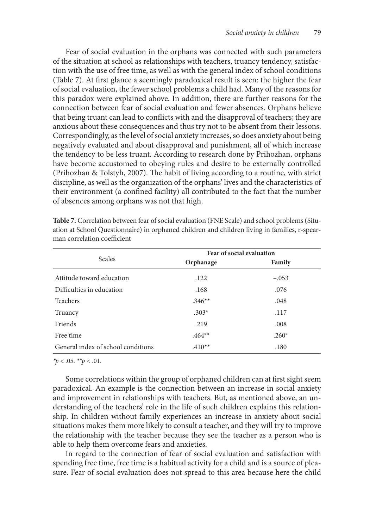Fear of social evaluation in the orphans was connected with such parameters of the situation at school as relationships with teachers, truancy tendency, satisfaction with the use of free time, as well as with the general index of school conditions (Table 7). At first glance a seemingly paradoxical result is seen: the higher the fear of social evaluation, the fewer school problems a child had. Many of the reasons for this paradox were explained above. In addition, there are further reasons for the connection between fear of social evaluation and fewer absences. Orphans believe that being truant can lead to conflicts with and the disapproval of teachers; they are anxious about these consequences and thus try not to be absent from their lessons. Correspondingly, as the level of social anxiety increases, so does anxiety about being negatively evaluated and about disapproval and punishment, all of which increase the tendency to be less truant. According to research done by Prihozhan, orphans have become accustomed to obeying rules and desire to be externally controlled (Prihozhan & Tolstyh, 2007). The habit of living according to a routine, with strict discipline, as well as the organization of the orphans' lives and the characteristics of their environment (a confined facility) all contributed to the fact that the number of absences among orphans was not that high.

|                                    | Fear of social evaluation |         |  |
|------------------------------------|---------------------------|---------|--|
| Scales                             | Orphanage                 | Family  |  |
| Attitude toward education          | .122                      | $-.053$ |  |
| Difficulties in education          | .168                      | .076    |  |
| <b>Teachers</b>                    | $.346**$                  | .048    |  |
| Truancy                            | $.303*$                   | .117    |  |
| Friends                            | .219                      | .008    |  |
| Free time                          | $.464**$                  | $.260*$ |  |
| General index of school conditions | $.410**$                  | .180    |  |

**Table 7.** Correlation between fear of social evaluation (FNE Scale) and school problems (Situation at School Questionnaire) in orphaned children and children living in families, r-spearman correlation coefficient

*\*p* < .05. *\*\*p <* .01.

Some correlations within the group of orphaned children can at first sight seem paradoxical. An example is the connection between an increase in social anxiety and improvement in relationships with teachers. But, as mentioned above, an understanding of the teachers' role in the life of such children explains this relationship. In children without family experiences an increase in anxiety about social situations makes them more likely to consult a teacher, and they will try to improve the relationship with the teacher because they see the teacher as a person who is able to help them overcome fears and anxieties.

In regard to the connection of fear of social evaluation and satisfaction with spending free time, free time is a habitual activity for a child and is a source of pleasure. Fear of social evaluation does not spread to this area because here the child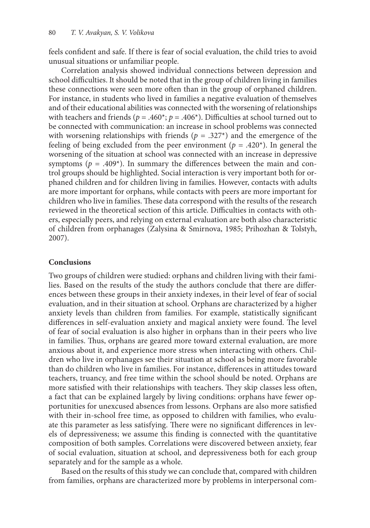feels confident and safe. If there is fear of social evaluation, the child tries to avoid unusual situations or unfamiliar people.

Correlation analysis showed individual connections between depression and school difficulties. It should be noted that in the group of children living in families these connections were seen more often than in the group of orphaned children. For instance, in students who lived in families a negative evaluation of themselves and of their educational abilities was connected with the worsening of relationships with teachers and friends ( $p = .460^*$ ;  $p = .406^*$ ). Difficulties at school turned out to be connected with communication: an increase in school problems was connected with worsening relationships with friends ( $p = .327<sup>*</sup>$ ) and the emergence of the feeling of being excluded from the peer environment ( $p = .420<sup>*</sup>$ ). In general the worsening of the situation at school was connected with an increase in depressive symptoms ( $p = .409$ <sup>\*</sup>). In summary the differences between the main and control groups should be highlighted. Social interaction is very important both for orphaned children and for children living in families. However, contacts with adults are more important for orphans, while contacts with peers are more important for children who live in families. These data correspond with the results of the research reviewed in the theoretical section of this article. Difficulties in contacts with others, especially peers, and relying on external evaluation are both also characteristic of children from orphanages (Zalysina & Smirnova, 1985; Prihozhan & Tolstyh, 2007).

#### **Conclusions**

Two groups of children were studied: orphans and children living with their families. Based on the results of the study the authors conclude that there are differences between these groups in their anxiety indexes, in their level of fear of social evaluation, and in their situation at school. Orphans are characterized by a higher anxiety levels than children from families. For example, statistically significant differences in self-evaluation anxiety and magical anxiety were found. The level of fear of social evaluation is also higher in orphans than in their peers who live in families. Thus, orphans are geared more toward external evaluation, are more anxious about it, and experience more stress when interacting with others. Children who live in orphanages see their situation at school as being more favorable than do children who live in families. For instance, differences in attitudes toward teachers, truancy, and free time within the school should be noted. Orphans are more satisfied with their relationships with teachers. They skip classes less often, a fact that can be explained largely by living conditions: orphans have fewer opportunities for unexcused absences from lessons. Orphans are also more satisfied with their in-school free time, as opposed to children with families, who evaluate this parameter as less satisfying. There were no significant differences in levels of depressiveness; we assume this finding is connected with the quantitative composition of both samples. Correlations were discovered between anxiety, fear of social evaluation, situation at school, and depressiveness both for each group separately and for the sample as a whole.

Based on the results of this study we can conclude that, compared with children from families, orphans are characterized more by problems in interpersonal com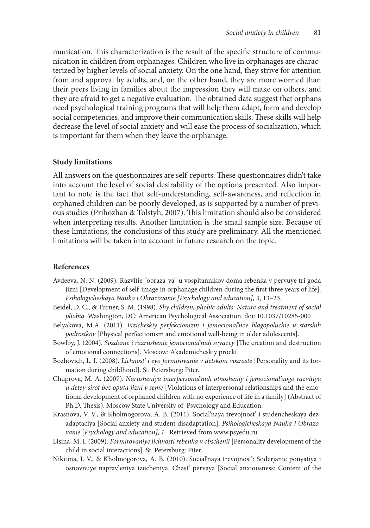munication. This characterization is the result of the specific structure of communication in children from orphanages. Children who live in orphanages are characterized by higher levels of social anxiety. On the one hand, they strive for attention from and approval by adults, and, on the other hand, they are more worried than their peers living in families about the impression they will make on others, and they are afraid to get a negative evaluation. The obtained data suggest that orphans need psychological training programs that will help them adapt, form and develop social competencies, and improve their communication skills. These skills will help decrease the level of social anxiety and will ease the process of socialization, which is important for them when they leave the orphanage.

#### **Study limitations**

All answers on the questionnaires are self-reports. These questionnaires didn't take into account the level of social desirability of the options presented. Also important to note is the fact that self-understanding, self-awareness, and reflection in orphaned children can be poorly developed, as is supported by a number of previous studies (Prihozhan & Tolstyh, 2007). This limitation should also be considered when interpreting results. Another limitation is the small sample size. Because of these limitations, the conclusions of this study are preliminary. All the mentioned limitations will be taken into account in future research on the topic.

#### **References**

- Avdeeva, N. N. (2009). Razvitie "obraza-ya" u vospitannikov doma rebenka v pervuye tri goda jizni [Development of self-image in orphanage children during the first three years of life]. *Psihologicheskaya Nauka i Obrazovanie [Psychology and education], 3*, 13–23.
- Beidel, D. C., & Turner, S. M. (1998). *Shy children, phobic adults: Nature and treatment of social phobia.* Washington, DC: American Psychological Association. doi: 10.1037/10285-000
- Belyakova, M.A. (2011). *Fizicheskiy perfekcionizm i jemocional'noe blagopoluchie u starshih podrostkov* [Physical perfectionism and emotional well-being in older adolescents].
- Bowlby, J. (2004). *Sozdanie i razrushenie jemocional'nuh svyazey* [The creation and destruction of emotional connections]. Moscow: Akademicheskiy proekt.
- Bozhovich, L. I. (2008). *Lichnost' i eyo formirovanie v detskom vozraste* [Personality and its formation during childhood]. St. Petersburg: Piter.
- Chuprova, M. A. (2007). *Narusheniya interpersonal'nuh otnosheniy i jemocional'nogo razvitiya u detey-sirot bez oputa jizni v sem'e* [Violations of interpersonal relationships and the emotional development of orphaned children with no experience of life in a family] (Abstract of Ph.D. Thesis). Moscow State University of Psychology and Education.
- Krasnova, V. V., & Kholmogorova, A. B. (2011). Social'naya trevojnost' i studencheskaya dezadaptaciya [Social anxiety and student disadaptation]. *Psihologicheskaya Nauka i Obrazovanie* [*Psychology and education], 1.* Retrieved from www.psyedu.ru
- Lisina, M. I. (2009). *Formirovaniye lichnosti rebenka v obschenii* [Personality development of the child in social interactions]. St. Petersburg: Piter.
- Nikitina, I. V., & Kholmogorova, A. B. (2010). Social'naya trevojnost': Soderjanie ponyatiya i osnovnuye napravleniya izucheniya. Chast' pervaya [Social anxiousness: Content of the